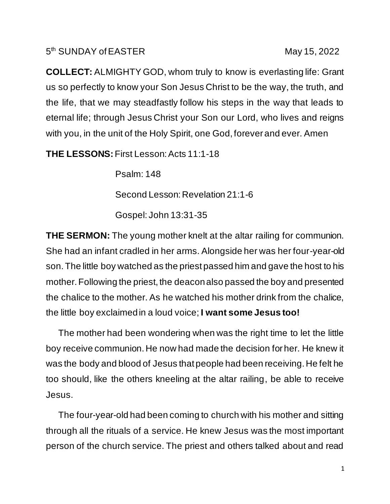## 5<sup>th</sup> SUNDAY of EASTER May 15, 2022

**COLLECT:** ALMIGHTY GOD, whom truly to know is everlasting life: Grant us so perfectly to know your Son Jesus Christ to be the way, the truth, and the life, that we may steadfastly follow his steps in the way that leads to eternal life; through Jesus Christ your Son our Lord, who lives and reigns with you, in the unit of the Holy Spirit, one God, forever and ever. Amen

**THE LESSONS:** First Lesson: Acts 11:1-18

 Psalm: 148 Second Lesson: Revelation 21:1-6 Gospel: John 13:31-35

**THE SERMON:** The young mother knelt at the altar railing for communion. She had an infant cradled in her arms. Alongside her was her four-year-old son. The little boy watched as the priest passed him and gave the host to his mother. Following the priest, the deacon also passed the boy and presented the chalice to the mother. As he watched his mother drink from the chalice, the little boy exclaimed in a loud voice; **I want some Jesus too!**

The mother had been wondering when was the right time to let the little boy receive communion. He now had made the decision for her. He knew it was the body and blood of Jesus that people had been receiving. He felt he too should, like the others kneeling at the altar railing, be able to receive Jesus.

 The four-year-old had been coming to church with his mother and sitting through all the rituals of a service. He knew Jesus was the most important person of the church service. The priest and others talked about and read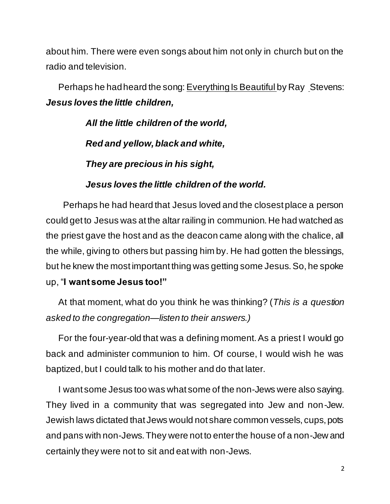about him. There were even songs about him not only in church but on the radio and television.

 Perhaps he had heard the song: Everything Is Beautiful by Ray Stevens: *Jesus loves the little children,*

> *All the little children of the world, Red and yellow, black and white, They are precious in his sight,*

## *Jesus loves the little children of the world.*

Perhaps he had heard that Jesus loved and the closest place a person could get to Jesus was at the altar railing in communion. He had watched as the priest gave the host and as the deacon came along with the chalice, all the while, giving to others but passing him by. He had gotten the blessings, but he knew the most important thing was getting some Jesus. So, he spoke up, "**I want some Jesus too!"**

At that moment, what do you think he was thinking? (*This is a question asked to the congregation—listen to their answers.)*

For the four-year-old that was a defining moment. As a priest I would go back and administer communion to him. Of course, I would wish he was baptized, but I could talk to his mother and do that later.

 I want some Jesus too was what some of the non-Jews were also saying. They lived in a community that was segregated into Jew and non-Jew. Jewish laws dictated that Jews would not share common vessels, cups, pots and pans with non-Jews. They were not to enter the house of a non-Jew and certainly they were not to sit and eat with non-Jews.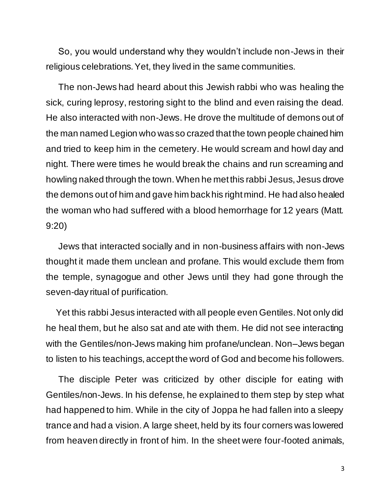So, you would understand why they wouldn't include non-Jews in their religious celebrations. Yet, they lived in the same communities.

 The non-Jews had heard about this Jewish rabbi who was healing the sick, curing leprosy, restoring sight to the blind and even raising the dead. He also interacted with non-Jews. He drove the multitude of demons out of the man named Legion who was so crazed that the town people chained him and tried to keep him in the cemetery. He would scream and howl day and night. There were times he would break the chains and run screaming and howling naked through the town. When he met this rabbi Jesus, Jesus drove the demons out of him and gave him back his right mind. He had also healed the woman who had suffered with a blood hemorrhage for 12 years (Matt. 9:20)

 Jews that interacted socially and in non-business affairs with non-Jews thought it made them unclean and profane. This would exclude them from the temple, synagogue and other Jews until they had gone through the seven-day ritual of purification.

 Yet this rabbi Jesus interacted with all people even Gentiles. Not only did he heal them, but he also sat and ate with them. He did not see interacting with the Gentiles/non-Jews making him profane/unclean. Non–Jews began to listen to his teachings, accept the word of God and become his followers.

 The disciple Peter was criticized by other disciple for eating with Gentiles/non-Jews. In his defense, he explained to them step by step what had happened to him. While in the city of Joppa he had fallen into a sleepy trance and had a vision. A large sheet, held by its four corners was lowered from heaven directly in front of him. In the sheet were four-footed animals,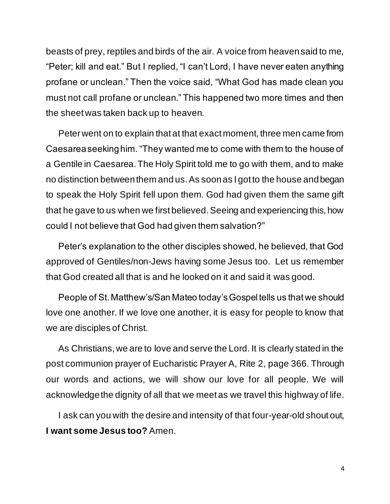beasts of prey, reptiles and birds of the air. A voice from heaven said to me, "Peter; kill and eat." But I replied, "I can't Lord, I have never eaten anything profane or unclean." Then the voice said, "What God has made clean you must not call profane or unclean." This happened two more times and then the sheet was taken back up to heaven.

 Peter went on to explain that at that exact moment, three men came from Caesarea seeking him. "They wanted me to come with them to the house of a Gentile in Caesarea. The Holy Spirit told me to go with them, and to make no distinction between them and us. As soon as I got to the house and began to speak the Holy Spirit fell upon them. God had given them the same gift that he gave to us when we first believed. Seeing and experiencing this, how could I not believe that God had given them salvation?"

 Peter's explanation to the other disciples showed, he believed, that God approved of Gentiles/non-Jews having some Jesus too. Let us remember that God created all that is and he looked on it and said it was good.

 People of St. Matthew's/San Mateo today's Gospel tells us that we should love one another. If we love one another, it is easy for people to know that we are disciples of Christ.

 As Christians, we are to love and serve the Lord. It is clearly stated in the post communion prayer of Eucharistic Prayer A, Rite 2, page 366. Through our words and actions, we will show our love for all people. We will acknowledge the dignity of all that we meet as we travel this highway of life.

 I ask can you with the desire and intensity of that four-year-old shout out, **I want some Jesus too?** Amen.